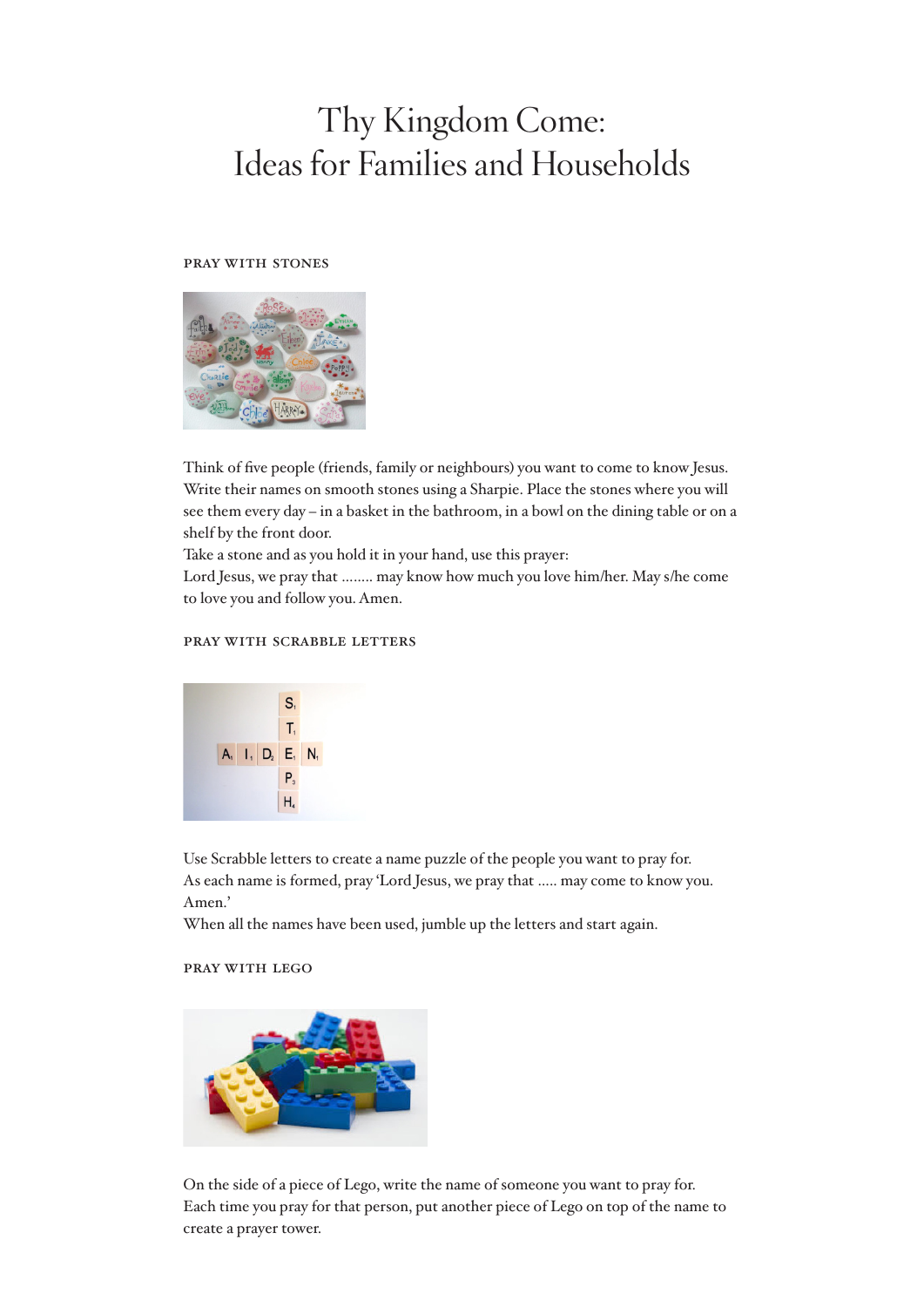# Thy Kingdom Come: Ideas for Families and Households

### pray with stones



Think of five people (friends, family or neighbours) you want to come to know Jesus. Write their names on smooth stones using a Sharpie. Place the stones where you will see them every day – in a basket in the bathroom, in a bowl on the dining table or on a shelf by the front door.

Take a stone and as you hold it in your hand, use this prayer:

Lord Jesus, we pray that …….. may know how much you love him/her. May s/he come to love you and follow you. Amen.

## pray with scrabble letters



Use Scrabble letters to create a name puzzle of the people you want to pray for. As each name is formed, pray 'Lord Jesus, we pray that ….. may come to know you. Amen.'

When all the names have been used, jumble up the letters and start again.

### pray with lego



On the side of a piece of Lego, write the name of someone you want to pray for. Each time you pray for that person, put another piece of Lego on top of the name to create a prayer tower.